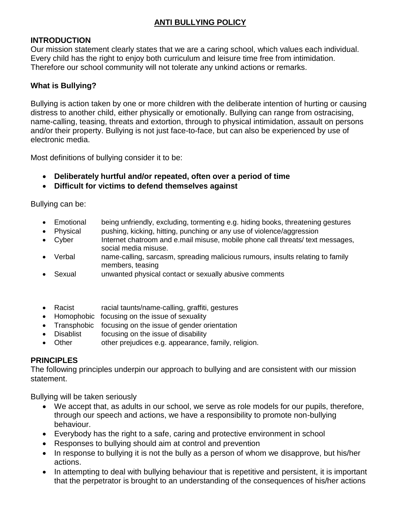### **ANTI BULLYING POLICY**

### **INTRODUCTION**

Our mission statement clearly states that we are a caring school, which values each individual. Every child has the right to enjoy both curriculum and leisure time free from intimidation. Therefore our school community will not tolerate any unkind actions or remarks.

## **What is Bullying?**

Bullying is action taken by one or more children with the deliberate intention of hurting or causing distress to another child, either physically or emotionally. Bullying can range from ostracising, name-calling, teasing, threats and extortion, through to physical intimidation, assault on persons and/or their property. Bullying is not just face-to-face, but can also be experienced by use of electronic media.

Most definitions of bullying consider it to be:

- **Deliberately hurtful and/or repeated, often over a period of time**
- **Difficult for victims to defend themselves against**

Bullying can be:

- Emotional being unfriendly, excluding, tormenting e.g. hiding books, threatening gestures
- Physical pushing, kicking, hitting, punching or any use of violence/aggression
- Cyber Internet chatroom and e.mail misuse, mobile phone call threats/ text messages, social media misuse.
- Verbal name-calling, sarcasm, spreading malicious rumours, insults relating to family members, teasing
- Sexual unwanted physical contact or sexually abusive comments
- Racist racial taunts/name-calling, graffiti, gestures
- Homophobic focusing on the issue of sexuality
- Transphobic focusing on the issue of gender orientation
- Disablist focusing on the issue of disability
- Other other prejudices e.g. appearance, family, religion.

### **PRINCIPLES**

The following principles underpin our approach to bullying and are consistent with our mission statement.

Bullying will be taken seriously

- We accept that, as adults in our school, we serve as role models for our pupils, therefore, through our speech and actions, we have a responsibility to promote non-bullying behaviour.
- Everybody has the right to a safe, caring and protective environment in school
- Responses to bullying should aim at control and prevention
- In response to bullying it is not the bully as a person of whom we disapprove, but his/her actions.
- In attempting to deal with bullying behaviour that is repetitive and persistent, it is important that the perpetrator is brought to an understanding of the consequences of his/her actions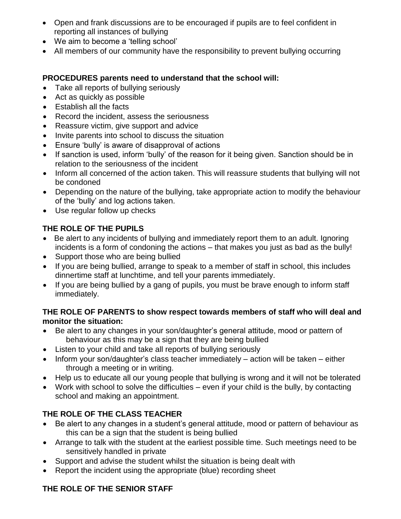- Open and frank discussions are to be encouraged if pupils are to feel confident in reporting all instances of bullying
- We aim to become a 'telling school'
- All members of our community have the responsibility to prevent bullying occurring

### **PROCEDURES parents need to understand that the school will:**

- Take all reports of bullying seriously
- Act as quickly as possible
- Establish all the facts
- Record the incident, assess the seriousness
- Reassure victim, give support and advice
- Invite parents into school to discuss the situation
- Ensure 'bully' is aware of disapproval of actions
- If sanction is used, inform 'bully' of the reason for it being given. Sanction should be in relation to the seriousness of the incident
- Inform all concerned of the action taken. This will reassure students that bullying will not be condoned
- Depending on the nature of the bullying, take appropriate action to modify the behaviour of the 'bully' and log actions taken.
- Use regular follow up checks

# **THE ROLE OF THE PUPILS**

- Be alert to any incidents of bullying and immediately report them to an adult. Ignoring incidents is a form of condoning the actions – that makes you just as bad as the bully!
- Support those who are being bullied
- If you are being bullied, arrange to speak to a member of staff in school, this includes dinnertime staff at lunchtime, and tell your parents immediately.
- If you are being bullied by a gang of pupils, you must be brave enough to inform staff immediately.

### **THE ROLE OF PARENTS to show respect towards members of staff who will deal and monitor the situation:**

- Be alert to any changes in your son/daughter's general attitude, mood or pattern of behaviour as this may be a sign that they are being bullied
- Listen to your child and take all reports of bullying seriously
- Inform your son/daughter's class teacher immediately action will be taken either through a meeting or in writing.
- Help us to educate all our young people that bullying is wrong and it will not be tolerated
- Work with school to solve the difficulties even if your child is the bully, by contacting school and making an appointment.

# **THE ROLE OF THE CLASS TEACHER**

- Be alert to any changes in a student's general attitude, mood or pattern of behaviour as this can be a sign that the student is being bullied
- Arrange to talk with the student at the earliest possible time. Such meetings need to be sensitively handled in private
- Support and advise the student whilst the situation is being dealt with
- Report the incident using the appropriate (blue) recording sheet

## **THE ROLE OF THE SENIOR STAFF**